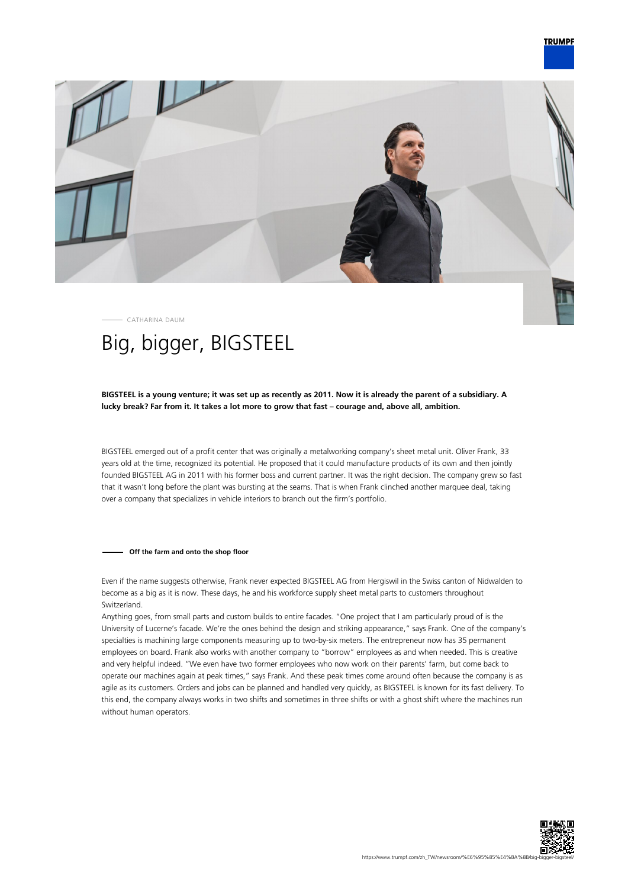

CATHARINA DAUM

# Big, bigger, BIGSTEEL

# **BIGSTEEL is a young venture; it was set up as recently as 2011. Now it is already the parent of a subsidiary. A lucky break? Far from it. It takes a lot more to grow that fast – courage and, above all, ambition.**

BIGSTEEL emerged out of a profit center that was originally a metalworking company's sheet metal unit. Oliver Frank, 33 years old at the time, recognized its potential. He proposed that it could manufacture products of its own and then jointly founded BIGSTEEL AG in 2011 with his former boss and current partner. It was the right decision. The company grew so fast that it wasn't long before the plant was bursting at the seams. That is when Frank clinched another marquee deal, taking over a company that specializes in vehicle interiors to branch out the firm's portfolio.

## **Off the farm and onto the shop floor**

Even if the name suggests otherwise, Frank never expected BIGSTEEL AG from Hergiswil in the Swiss canton of Nidwalden to become as a big as it is now. These days, he and his workforce supply sheet metal parts to customers throughout Switzerland.

Anything goes, from small parts and custom builds to entire facades. "One project that I am particularly proud of is the University of Lucerne's facade. We're the ones behind the design and striking appearance," says Frank. One of the company's specialties is machining large components measuring up to two-by-six meters. The entrepreneur now has 35 permanent employees on board. Frank also works with another company to "borrow" employees as and when needed. This is creative and very helpful indeed. "We even have two former employees who now work on their parents' farm, but come back to operate our machines again at peak times," says Frank. And these peak times come around often because the company is as agile as its customers. Orders and jobs can be planned and handled very quickly, as BIGSTEEL is known for its fast delivery. To this end, the company always works in two shifts and sometimes in three shifts or with a ghost shift where the machines run without human operators.